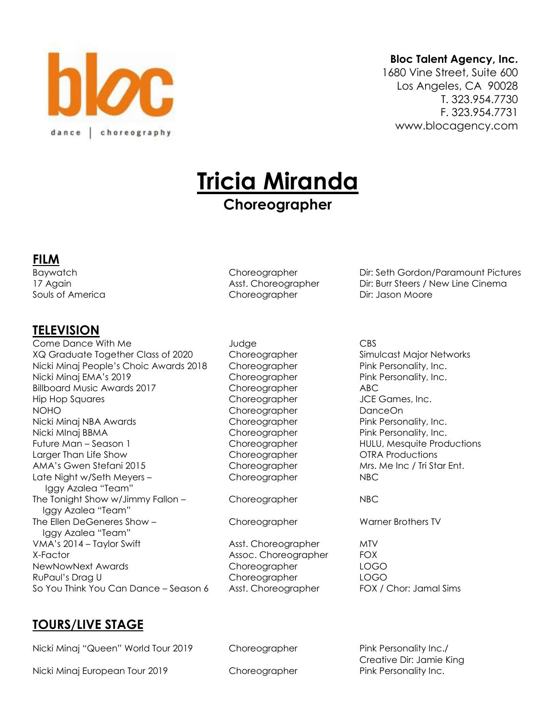

#### **Bloc Talent Agency, Inc.**

1680 Vine Street, Suite 600 Los Angeles, CA 90028 T. 323.954.7730 F. 323.954.7731 www.blocagency.com

# **Tricia Miranda**

# **Choreographer**

#### **FILM**

#### **TELEVISION**

Come Dance With Me Judge CBS XQ Graduate Together Class of 2020 Choreographer Simulcast Major Networks Nicki Minaj People's Choic Awards 2018 Choreographer Pink Personality, Inc. Nicki Minaj EMA's 2019 Choreographer Pink Personality, Inc. Billboard Music Awards 2017 Choreographer ABC Hip Hop Squares **Choreographer** JCE Games, Inc. NOHO Choreographer DanceOn Nicki Minaj NBA Awards **Choreographer** Pink Personality, Inc. Nicki MInaj BBMA Choreographer Pink Personality, Inc. Future Man – Season 1 Choreographer HULU, Mesquite Productions Larger Than Life Show Choreographer OTRA Productions AMA's Gwen Stefani 2015 Choreographer Mrs. Me Inc / Tri Star Ent. Late Night w/Seth Meyers – Choreographer NBC Iggy Azalea "Team" The Tonight Show w/Jimmy Fallon – Choreographer NBC Iggy Azalea "Team" The Ellen DeGeneres Show – Choreographer Warner Brothers TV Iggy Azalea "Team" VMA's 2014 – Taylor Swift **Asst. Choreographer** MTV X-Factor **Assoc. Choreographer** FOX NewNowNext Awards Choreographer LOGO RuPaul's Drag U Choreographer LOGO So You Think You Can Dance – Season 6 Asst. Choreographer FOX / Chor: Jamal Sims

Souls of America **Choreographer** Dir: Jason Moore

Baywatch Choreographer Dir: Seth Gordon/Paramount Pictures 17 Again **Asst. Choreographer** Dir: Burr Steers / New Line Cinema

## **TOURS/LIVE STAGE**

Nicki Minaj "Queen" World Tour 2019 Choreographer Pink Personality Inc./

Nicki Minaj European Tour 2019 **Choreographer** Pink Personality Inc.

Creative Dir: Jamie King